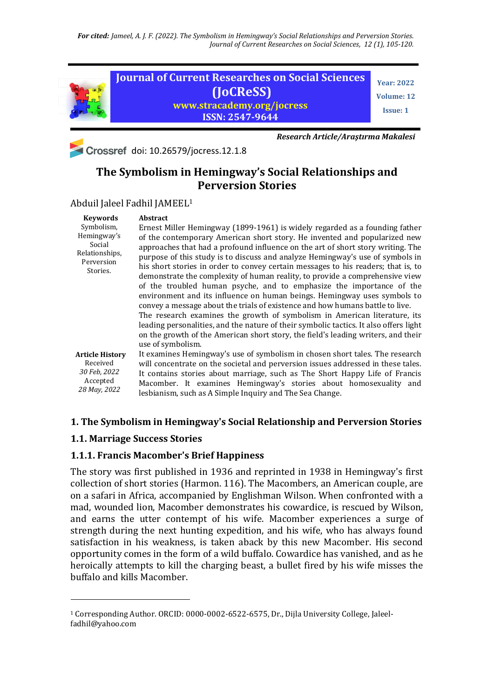*For cited: Jameel, A. J. F. (2022). The Symbolism in Hemingway's Social Relationships and Perversion Stories. Journal of Current Researches on Social Sciences, 12 (1), 105-120.*



Crossref doi: 10.26579/jocress.12.1.8

*Research Article/Araştırma Makalesi*

# **The Symbolism in Hemingway's Social Relationships and Perversion Stories**

Abduil Jaleel Fadhil JAMEEL<sup>1</sup>

| <b>Keywords</b>                                                                 | <b>Abstract</b>                                                                                                                                                                                                                                                                                                                                                                                                                                                                                                                                                                                                                                                                                                                                                                                                                                                                                                                                                                                                        |
|---------------------------------------------------------------------------------|------------------------------------------------------------------------------------------------------------------------------------------------------------------------------------------------------------------------------------------------------------------------------------------------------------------------------------------------------------------------------------------------------------------------------------------------------------------------------------------------------------------------------------------------------------------------------------------------------------------------------------------------------------------------------------------------------------------------------------------------------------------------------------------------------------------------------------------------------------------------------------------------------------------------------------------------------------------------------------------------------------------------|
| Symbolism,<br>Hemingway's<br>Social<br>Relationships,<br>Perversion<br>Stories. | Ernest Miller Hemingway (1899-1961) is widely regarded as a founding father<br>of the contemporary American short story. He invented and popularized new<br>approaches that had a profound influence on the art of short story writing. The<br>purpose of this study is to discuss and analyze Hemingway's use of symbols in<br>his short stories in order to convey certain messages to his readers; that is, to<br>demonstrate the complexity of human reality, to provide a comprehensive view<br>of the troubled human psyche, and to emphasize the importance of the<br>environment and its influence on human beings. Hemingway uses symbols to<br>convey a message about the trials of existence and how humans battle to live.<br>The research examines the growth of symbolism in American literature, its<br>leading personalities, and the nature of their symbolic tactics. It also offers light<br>on the growth of the American short story, the field's leading writers, and their<br>use of symbolism. |
| <b>Article History</b>                                                          | It examines Hemingway's use of symbolism in chosen short tales. The research                                                                                                                                                                                                                                                                                                                                                                                                                                                                                                                                                                                                                                                                                                                                                                                                                                                                                                                                           |
| Received<br>30 Feb, 2022<br>Accepted<br>28 May, 2022                            | will concentrate on the societal and perversion issues addressed in these tales.                                                                                                                                                                                                                                                                                                                                                                                                                                                                                                                                                                                                                                                                                                                                                                                                                                                                                                                                       |
|                                                                                 | It contains stories about marriage, such as The Short Happy Life of Francis                                                                                                                                                                                                                                                                                                                                                                                                                                                                                                                                                                                                                                                                                                                                                                                                                                                                                                                                            |
|                                                                                 | Macomber. It examines Hemingway's stories about homosexuality and                                                                                                                                                                                                                                                                                                                                                                                                                                                                                                                                                                                                                                                                                                                                                                                                                                                                                                                                                      |
|                                                                                 | lesbianism, such as A Simple Inquiry and The Sea Change.                                                                                                                                                                                                                                                                                                                                                                                                                                                                                                                                                                                                                                                                                                                                                                                                                                                                                                                                                               |

### **1. The Symbolism in Hemingway's Social Relationship and Perversion Stories**

#### **1.1. Marriage Success Stories**

<u>.</u>

#### **1.1.1. Francis Macomber's Brief Happiness**

The story was first published in 1936 and reprinted in 1938 in Hemingway's first collection of short stories (Harmon. 116). The Macombers, an American couple, are on a safari in Africa, accompanied by Englishman Wilson. When confronted with a mad, wounded lion, Macomber demonstrates his cowardice, is rescued by Wilson, and earns the utter contempt of his wife. Macomber experiences a surge of strength during the next hunting expedition, and his wife, who has always found satisfaction in his weakness, is taken aback by this new Macomber. His second opportunity comes in the form of a wild buffalo. Cowardice has vanished, and as he heroically attempts to kill the charging beast, a bullet fired by his wife misses the buffalo and kills Macomber.

<sup>1</sup> Corresponding Author. ORCID: 0000-0002-6522-6575, Dr., Dijla University College, Jaleelfadhil@yahoo.com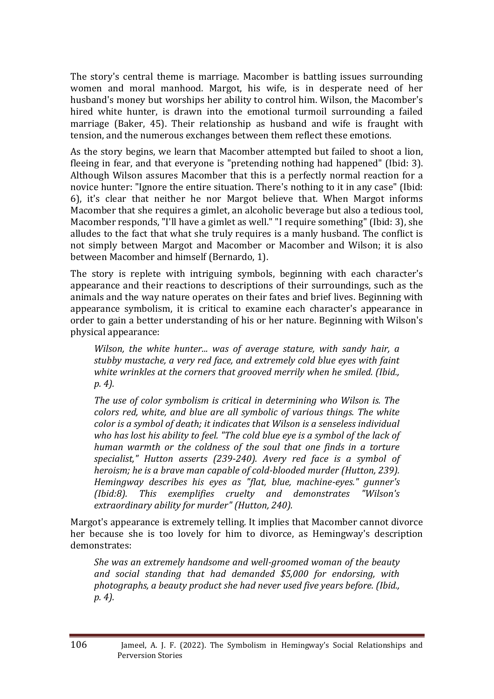The story's central theme is marriage. Macomber is battling issues surrounding women and moral manhood. Margot, his wife, is in desperate need of her husband's money but worships her ability to control him. Wilson, the Macomber's hired white hunter, is drawn into the emotional turmoil surrounding a failed marriage (Baker, 45). Their relationship as husband and wife is fraught with tension, and the numerous exchanges between them reflect these emotions.

As the story begins, we learn that Macomber attempted but failed to shoot a lion, fleeing in fear, and that everyone is "pretending nothing had happened" (Ibid: 3). Although Wilson assures Macomber that this is a perfectly normal reaction for a novice hunter: "Ignore the entire situation. There's nothing to it in any case" (Ibid: 6), it's clear that neither he nor Margot believe that. When Margot informs Macomber that she requires a gimlet, an alcoholic beverage but also a tedious tool, Macomber responds, "I'll have a gimlet as well." "I require something" (Ibid: 3), she alludes to the fact that what she truly requires is a manly husband. The conflict is not simply between Margot and Macomber or Macomber and Wilson; it is also between Macomber and himself (Bernardo, 1).

The story is replete with intriguing symbols, beginning with each character's appearance and their reactions to descriptions of their surroundings, such as the animals and the way nature operates on their fates and brief lives. Beginning with appearance symbolism, it is critical to examine each character's appearance in order to gain a better understanding of his or her nature. Beginning with Wilson's physical appearance:

*Wilson, the white hunter... was of average stature, with sandy hair, a stubby mustache, a very red face, and extremely cold blue eyes with faint white wrinkles at the corners that grooved merrily when he smiled. (Ibid., p. 4).*

*The use of color symbolism is critical in determining who Wilson is. The colors red, white, and blue are all symbolic of various things. The white color is a symbol of death; it indicates that Wilson is a senseless individual who has lost his ability to feel. "The cold blue eye is a symbol of the lack of human warmth or the coldness of the soul that one finds in a torture specialist," Hutton asserts (239-240). Avery red face is a symbol of heroism; he is a brave man capable of cold-blooded murder (Hutton, 239). Hemingway describes his eyes as "flat, blue, machine-eyes." gunner's (Ibid:8). This exemplifies cruelty and demonstrates "Wilson's extraordinary ability for murder" (Hutton, 240).*

Margot's appearance is extremely telling. It implies that Macomber cannot divorce her because she is too lovely for him to divorce, as Hemingway's description demonstrates:

*She was an extremely handsome and well-groomed woman of the beauty and social standing that had demanded \$5,000 for endorsing, with photographs, a beauty product she had never used five years before. (Ibid., p. 4).*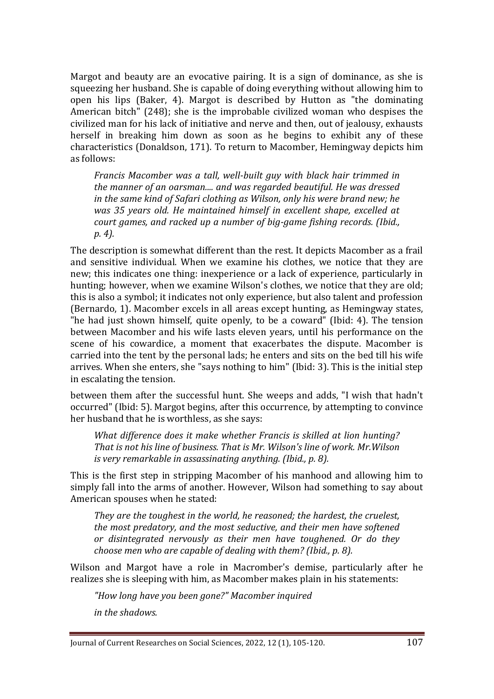Margot and beauty are an evocative pairing. It is a sign of dominance, as she is squeezing her husband. She is capable of doing everything without allowing him to open his lips (Baker, 4). Margot is described by Hutton as "the dominating American bitch" (248); she is the improbable civilized woman who despises the civilized man for his lack of initiative and nerve and then, out of jealousy, exhausts herself in breaking him down as soon as he begins to exhibit any of these characteristics (Donaldson, 171). To return to Macomber, Hemingway depicts him as follows:

*Francis Macomber was a tall, well-built guy with black hair trimmed in the manner of an oarsman.... and was regarded beautiful. He was dressed in the same kind of Safari clothing as Wilson, only his were brand new; he was 35 years old. He maintained himself in excellent shape, excelled at court games, and racked up a number of big-game fishing records. (Ibid., p. 4).*

The description is somewhat different than the rest. It depicts Macomber as a frail and sensitive individual. When we examine his clothes, we notice that they are new; this indicates one thing: inexperience or a lack of experience, particularly in hunting; however, when we examine Wilson's clothes, we notice that they are old; this is also a symbol; it indicates not only experience, but also talent and profession (Bernardo, 1). Macomber excels in all areas except hunting, as Hemingway states, "he had just shown himself, quite openly, to be a coward" (Ibid: 4). The tension between Macomber and his wife lasts eleven years, until his performance on the scene of his cowardice, a moment that exacerbates the dispute. Macomber is carried into the tent by the personal lads; he enters and sits on the bed till his wife arrives. When she enters, she "says nothing to him" (Ibid: 3). This is the initial step in escalating the tension.

between them after the successful hunt. She weeps and adds, "I wish that hadn't occurred" (Ibid: 5). Margot begins, after this occurrence, by attempting to convince her husband that he is worthless, as she says:

*What difference does it make whether Francis is skilled at lion hunting? That is not his line of business. That is Mr. Wilson's line of work. Mr.Wilson is very remarkable in assassinating anything. (Ibid., p. 8).*

This is the first step in stripping Macomber of his manhood and allowing him to simply fall into the arms of another. However, Wilson had something to say about American spouses when he stated:

*They are the toughest in the world, he reasoned; the hardest, the cruelest, the most predatory, and the most seductive, and their men have softened or disintegrated nervously as their men have toughened. Or do they choose men who are capable of dealing with them? (Ibid., p. 8).*

Wilson and Margot have a role in Macromber's demise, particularly after he realizes she is sleeping with him, as Macomber makes plain in his statements:

*"How long have you been gone?" Macomber inquired*

*in the shadows.*

Journal of Current Researches on Social Sciences, 2022, 12 (1), 105-120. 107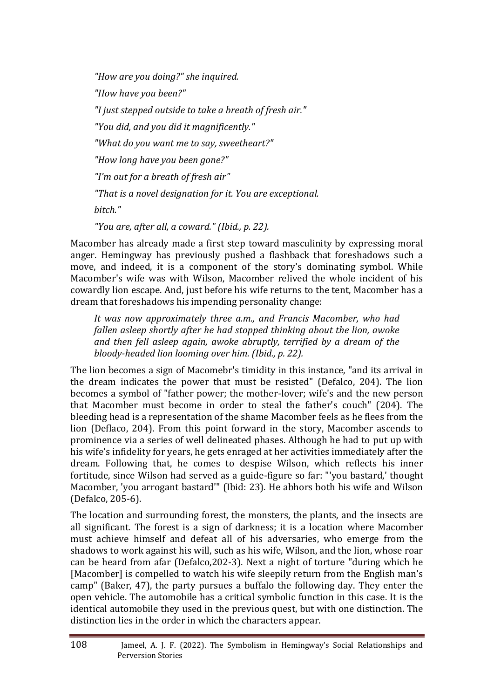*"How are you doing?" she inquired. "How have you been?" "I just stepped outside to take a breath of fresh air." "You did, and you did it magnificently." "What do you want me to say, sweetheart?" "How long have you been gone?" "I'm out for a breath of fresh air" "That is a novel designation for it. You are exceptional. bitch." "You are, after all, a coward." (Ibid., p. 22).*

Macomber has already made a first step toward masculinity by expressing moral anger. Hemingway has previously pushed a flashback that foreshadows such a move, and indeed, it is a component of the story's dominating symbol. While Macomber's wife was with Wilson, Macomber relived the whole incident of his cowardly lion escape. And, just before his wife returns to the tent, Macomber has a dream that foreshadows his impending personality change:

*It was now approximately three a.m., and Francis Macomber, who had fallen asleep shortly after he had stopped thinking about the lion, awoke and then fell asleep again, awoke abruptly, terrified by a dream of the bloody-headed lion looming over him. (Ibid., p. 22).*

The lion becomes a sign of Macomebr's timidity in this instance, "and its arrival in the dream indicates the power that must be resisted" (Defalco, 204). The lion becomes a symbol of "father power; the mother-lover; wife's and the new person that Macomber must become in order to steal the father's couch" (204). The bleeding head is a representation of the shame Macomber feels as he flees from the lion (Deflaco, 204). From this point forward in the story, Macomber ascends to prominence via a series of well delineated phases. Although he had to put up with his wife's infidelity for years, he gets enraged at her activities immediately after the dream. Following that, he comes to despise Wilson, which reflects his inner fortitude, since Wilson had served as a guide-figure so far: "'you bastard,' thought Macomber, 'you arrogant bastard'" (Ibid: 23). He abhors both his wife and Wilson (Defalco, 205-6).

The location and surrounding forest, the monsters, the plants, and the insects are all significant. The forest is a sign of darkness; it is a location where Macomber must achieve himself and defeat all of his adversaries, who emerge from the shadows to work against his will, such as his wife, Wilson, and the lion, whose roar can be heard from afar (Defalco,202-3). Next a night of torture "during which he [Macomber] is compelled to watch his wife sleepily return from the English man's camp" (Baker, 47), the party pursues a buffalo the following day. They enter the open vehicle. The automobile has a critical symbolic function in this case. It is the identical automobile they used in the previous quest, but with one distinction. The distinction lies in the order in which the characters appear.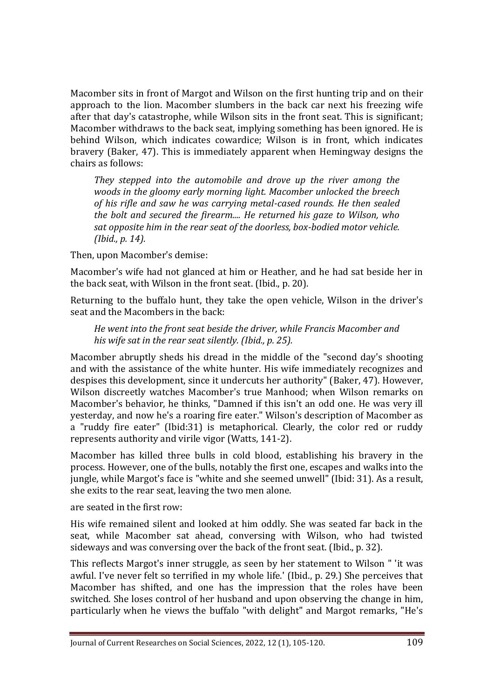Macomber sits in front of Margot and Wilson on the first hunting trip and on their approach to the lion. Macomber slumbers in the back car next his freezing wife after that day's catastrophe, while Wilson sits in the front seat. This is significant; Macomber withdraws to the back seat, implying something has been ignored. He is behind Wilson, which indicates cowardice; Wilson is in front, which indicates bravery (Baker, 47). This is immediately apparent when Hemingway designs the chairs as follows:

*They stepped into the automobile and drove up the river among the woods in the gloomy early morning light. Macomber unlocked the breech of his rifle and saw he was carrying metal-cased rounds. He then sealed the bolt and secured the firearm.... He returned his gaze to Wilson, who sat opposite him in the rear seat of the doorless, box-bodied motor vehicle. (Ibid., p. 14).*

Then, upon Macomber's demise:

Macomber's wife had not glanced at him or Heather, and he had sat beside her in the back seat, with Wilson in the front seat. (Ibid., p. 20).

Returning to the buffalo hunt, they take the open vehicle, Wilson in the driver's seat and the Macombers in the back:

*He went into the front seat beside the driver, while Francis Macomber and his wife sat in the rear seat silently. (Ibid., p. 25).*

Macomber abruptly sheds his dread in the middle of the "second day's shooting and with the assistance of the white hunter. His wife immediately recognizes and despises this development, since it undercuts her authority" (Baker, 47). However, Wilson discreetly watches Macomber's true Manhood; when Wilson remarks on Macomber's behavior, he thinks, "Damned if this isn't an odd one. He was very ill yesterday, and now he's a roaring fire eater." Wilson's description of Macomber as a "ruddy fire eater" (Ibid:31) is metaphorical. Clearly, the color red or ruddy represents authority and virile vigor (Watts, 141-2).

Macomber has killed three bulls in cold blood, establishing his bravery in the process. However, one of the bulls, notably the first one, escapes and walks into the jungle, while Margot's face is "white and she seemed unwell" (Ibid: 31). As a result, she exits to the rear seat, leaving the two men alone.

are seated in the first row:

His wife remained silent and looked at him oddly. She was seated far back in the seat, while Macomber sat ahead, conversing with Wilson, who had twisted sideways and was conversing over the back of the front seat. (Ibid., p. 32).

This reflects Margot's inner struggle, as seen by her statement to Wilson " 'it was awful. I've never felt so terrified in my whole life.' (Ibid., p. 29.) She perceives that Macomber has shifted, and one has the impression that the roles have been switched. She loses control of her husband and upon observing the change in him, particularly when he views the buffalo "with delight" and Margot remarks, "He's

Journal of Current Researches on Social Sciences, 2022, 12 (1), 105-120. 109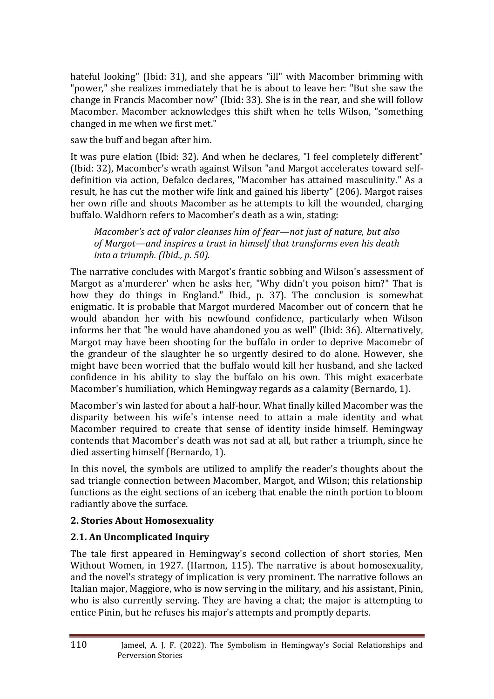hateful looking" (Ibid: 31), and she appears "ill" with Macomber brimming with "power," she realizes immediately that he is about to leave her: "But she saw the change in Francis Macomber now" (Ibid: 33). She is in the rear, and she will follow Macomber. Macomber acknowledges this shift when he tells Wilson, "something changed in me when we first met."

saw the buff and began after him.

It was pure elation (Ibid: 32). And when he declares, "I feel completely different" (Ibid: 32), Macomber's wrath against Wilson "and Margot accelerates toward selfdefinition via action, Defalco declares, "Macomber has attained masculinity." As a result, he has cut the mother wife link and gained his liberty" (206). Margot raises her own rifle and shoots Macomber as he attempts to kill the wounded, charging buffalo. Waldhorn refers to Macomber's death as a win, stating:

*Macomber's act of valor cleanses him of fear—not just of nature, but also of Margot—and inspires a trust in himself that transforms even his death into a triumph. (Ibid., p. 50).*

The narrative concludes with Margot's frantic sobbing and Wilson's assessment of Margot as a'murderer' when he asks her, "Why didn't you poison him?" That is how they do things in England." Ibid., p. 37). The conclusion is somewhat enigmatic. It is probable that Margot murdered Macomber out of concern that he would abandon her with his newfound confidence, particularly when Wilson informs her that "he would have abandoned you as well" (Ibid: 36). Alternatively, Margot may have been shooting for the buffalo in order to deprive Macomebr of the grandeur of the slaughter he so urgently desired to do alone. However, she might have been worried that the buffalo would kill her husband, and she lacked confidence in his ability to slay the buffalo on his own. This might exacerbate Macomber's humiliation, which Hemingway regards as a calamity (Bernardo, 1).

Macomber's win lasted for about a half-hour. What finally killed Macomber was the disparity between his wife's intense need to attain a male identity and what Macomber required to create that sense of identity inside himself. Hemingway contends that Macomber's death was not sad at all, but rather a triumph, since he died asserting himself (Bernardo, 1).

In this novel, the symbols are utilized to amplify the reader's thoughts about the sad triangle connection between Macomber, Margot, and Wilson; this relationship functions as the eight sections of an iceberg that enable the ninth portion to bloom radiantly above the surface.

# **2. Stories About Homosexuality**

# **2.1. An Uncomplicated Inquiry**

The tale first appeared in Hemingway's second collection of short stories, Men Without Women, in 1927. (Harmon, 115). The narrative is about homosexuality, and the novel's strategy of implication is very prominent. The narrative follows an Italian major, Maggiore, who is now serving in the military, and his assistant, Pinin, who is also currently serving. They are having a chat; the major is attempting to entice Pinin, but he refuses his major's attempts and promptly departs.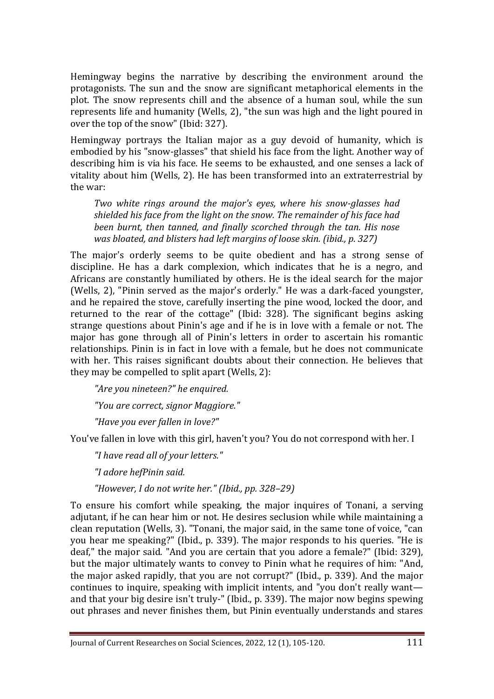Hemingway begins the narrative by describing the environment around the protagonists. The sun and the snow are significant metaphorical elements in the plot. The snow represents chill and the absence of a human soul, while the sun represents life and humanity (Wells, 2), "the sun was high and the light poured in over the top of the snow" (Ibid: 327).

Hemingway portrays the Italian major as a guy devoid of humanity, which is embodied by his "snow-glasses" that shield his face from the light. Another way of describing him is via his face. He seems to be exhausted, and one senses a lack of vitality about him (Wells, 2). He has been transformed into an extraterrestrial by the war:

*Two white rings around the major's eyes, where his snow-glasses had shielded his face from the light on the snow. The remainder of his face had been burnt, then tanned, and finally scorched through the tan. His nose was bloated, and blisters had left margins of loose skin. (ibid., p. 327)*

The major's orderly seems to be quite obedient and has a strong sense of discipline. He has a dark complexion, which indicates that he is a negro, and Africans are constantly humiliated by others. He is the ideal search for the major (Wells, 2), "Pinin served as the major's orderly." He was a dark-faced youngster, and he repaired the stove, carefully inserting the pine wood, locked the door, and returned to the rear of the cottage" (Ibid: 328). The significant begins asking strange questions about Pinin's age and if he is in love with a female or not. The major has gone through all of Pinin's letters in order to ascertain his romantic relationships. Pinin is in fact in love with a female, but he does not communicate with her. This raises significant doubts about their connection. He believes that they may be compelled to split apart (Wells, 2):

*"Are you nineteen?" he enquired. "You are correct, signor Maggiore." "Have you ever fallen in love?"*

You've fallen in love with this girl, haven't you? You do not correspond with her. I

*"I have read all of your letters."*

*"I adore hefPinin said.*

*"However, I do not write her." (Ibid., pp. 328–29)*

To ensure his comfort while speaking, the major inquires of Tonani, a serving adjutant, if he can hear him or not. He desires seclusion while while maintaining a clean reputation (Wells, 3). "Tonani, the major said, in the same tone of voice, "can you hear me speaking?" (Ibid., p. 339). The major responds to his queries. "He is deaf," the major said. "And you are certain that you adore a female?" (Ibid: 329), but the major ultimately wants to convey to Pinin what he requires of him: "And, the major asked rapidly, that you are not corrupt?" (Ibid., p. 339). And the major continues to inquire, speaking with implicit intents, and "you don't really want and that your big desire isn't truly-" (Ibid., p. 339). The major now begins spewing out phrases and never finishes them, but Pinin eventually understands and stares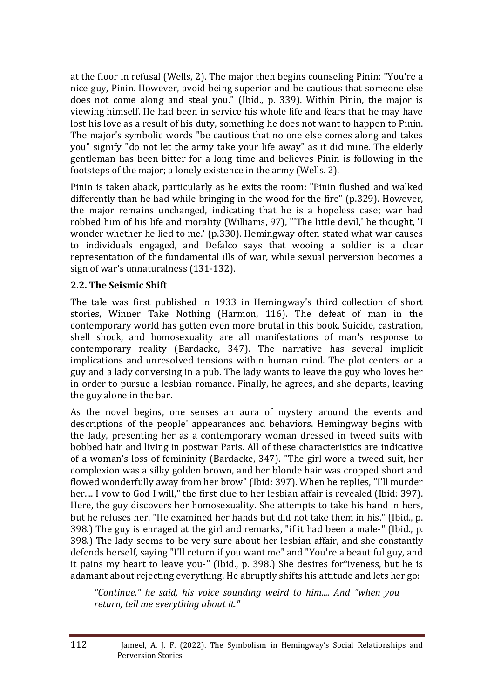at the floor in refusal (Wells, 2). The major then begins counseling Pinin: "You're a nice guy, Pinin. However, avoid being superior and be cautious that someone else does not come along and steal you." (Ibid., p. 339). Within Pinin, the major is viewing himself. He had been in service his whole life and fears that he may have lost his love as a result of his duty, something he does not want to happen to Pinin. The major's symbolic words "be cautious that no one else comes along and takes you" signify "do not let the army take your life away" as it did mine. The elderly gentleman has been bitter for a long time and believes Pinin is following in the footsteps of the major; a lonely existence in the army (Wells. 2).

Pinin is taken aback, particularly as he exits the room: "Pinin flushed and walked differently than he had while bringing in the wood for the fire" (p.329). However, the major remains unchanged, indicating that he is a hopeless case; war had robbed him of his life and morality (Williams, 97), "'The little devil,' he thought, 'I wonder whether he lied to me.' (p.330). Hemingway often stated what war causes to individuals engaged, and Defalco says that wooing a soldier is a clear representation of the fundamental ills of war, while sexual perversion becomes a sign of war's unnaturalness (131-132).

### **2.2. The Seismic Shift**

The tale was first published in 1933 in Hemingway's third collection of short stories, Winner Take Nothing (Harmon, 116). The defeat of man in the contemporary world has gotten even more brutal in this book. Suicide, castration, shell shock, and homosexuality are all manifestations of man's response to contemporary reality (Bardacke, 347). The narrative has several implicit implications and unresolved tensions within human mind. The plot centers on a guy and a lady conversing in a pub. The lady wants to leave the guy who loves her in order to pursue a lesbian romance. Finally, he agrees, and she departs, leaving the guy alone in the bar.

As the novel begins, one senses an aura of mystery around the events and descriptions of the people' appearances and behaviors. Hemingway begins with the lady, presenting her as a contemporary woman dressed in tweed suits with bobbed hair and living in postwar Paris. All of these characteristics are indicative of a woman's loss of femininity (Bardacke, 347). "The girl wore a tweed suit, her complexion was a silky golden brown, and her blonde hair was cropped short and flowed wonderfully away from her brow" (Ibid: 397). When he replies, "I'll murder her.... I vow to God I will," the first clue to her lesbian affair is revealed (Ibid: 397). Here, the guy discovers her homosexuality. She attempts to take his hand in hers, but he refuses her. "He examined her hands but did not take them in his." (Ibid., p. 398.) The guy is enraged at the girl and remarks, "if it had been a male-" (Ibid., p. 398.) The lady seems to be very sure about her lesbian affair, and she constantly defends herself, saying "I'll return if you want me" and "You're a beautiful guy, and it pains my heart to leave you-" (Ibid., p. 398.) She desires for°iveness, but he is adamant about rejecting everything. He abruptly shifts his attitude and lets her go:

*"Continue," he said, his voice sounding weird to him.... And "when you return, tell me everything about it."*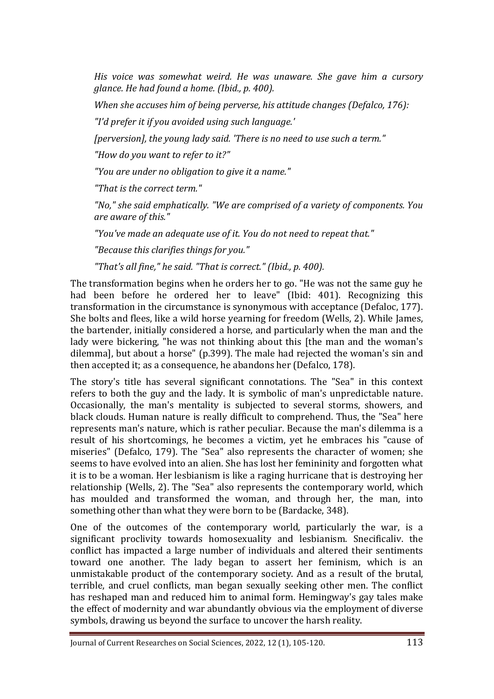*His voice was somewhat weird. He was unaware. She gave him a cursory glance. He had found a home. (Ibid., p. 400).*

*When she accuses him of being perverse, his attitude changes (Defalco, 176):*

*"I'd prefer it if you avoided using such language.'*

*[perversion], the young lady said. 'There is no need to use such a term."*

*"How do you want to refer to it?"*

*"You are under no obligation to give it a name."*

*"That is the correct term."*

*"No," she said emphatically. "We are comprised of a variety of components. You are aware of this."*

*"You've made an adequate use of it. You do not need to repeat that."*

*"Because this clarifies things for you."*

*"That's all fine," he said. "That is correct." (Ibid., p. 400).*

The transformation begins when he orders her to go. "He was not the same guy he had been before he ordered her to leave" (Ibid: 401). Recognizing this transformation in the circumstance is synonymous with acceptance (Defaloc, 177). She bolts and flees, like a wild horse yearning for freedom (Wells, 2). While James, the bartender, initially considered a horse, and particularly when the man and the lady were bickering, "he was not thinking about this [the man and the woman's dilemma], but about a horse" (p.399). The male had rejected the woman's sin and then accepted it; as a consequence, he abandons her (Defalco, 178).

The story's title has several significant connotations. The "Sea" in this context refers to both the guy and the lady. It is symbolic of man's unpredictable nature. Occasionally, the man's mentality is subjected to several storms, showers, and black clouds. Human nature is really difficult to comprehend. Thus, the "Sea" here represents man's nature, which is rather peculiar. Because the man's dilemma is a result of his shortcomings, he becomes a victim, yet he embraces his "cause of miseries" (Defalco, 179). The "Sea" also represents the character of women; she seems to have evolved into an alien. She has lost her femininity and forgotten what it is to be a woman. Her lesbianism is like a raging hurricane that is destroying her relationship (Wells, 2). The "Sea" also represents the contemporary world, which has moulded and transformed the woman, and through her, the man, into something other than what they were born to be (Bardacke, 348).

One of the outcomes of the contemporary world, particularly the war, is a significant proclivity towards homosexuality and lesbianism. Snecificaliv. the conflict has impacted a large number of individuals and altered their sentiments toward one another. The lady began to assert her feminism, which is an unmistakable product of the contemporary society. And as a result of the brutal, terrible, and cruel conflicts, man began sexually seeking other men. The conflict has reshaped man and reduced him to animal form. Hemingway's gay tales make the effect of modernity and war abundantly obvious via the employment of diverse symbols, drawing us beyond the surface to uncover the harsh reality.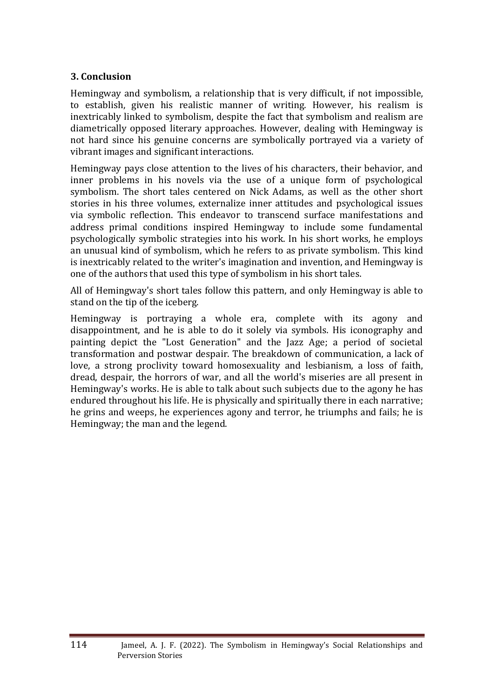### **3. Conclusion**

Hemingway and symbolism, a relationship that is very difficult, if not impossible, to establish, given his realistic manner of writing. However, his realism is inextricably linked to symbolism, despite the fact that symbolism and realism are diametrically opposed literary approaches. However, dealing with Hemingway is not hard since his genuine concerns are symbolically portrayed via a variety of vibrant images and significant interactions.

Hemingway pays close attention to the lives of his characters, their behavior, and inner problems in his novels via the use of a unique form of psychological symbolism. The short tales centered on Nick Adams, as well as the other short stories in his three volumes, externalize inner attitudes and psychological issues via symbolic reflection. This endeavor to transcend surface manifestations and address primal conditions inspired Hemingway to include some fundamental psychologically symbolic strategies into his work. In his short works, he employs an unusual kind of symbolism, which he refers to as private symbolism. This kind is inextricably related to the writer's imagination and invention, and Hemingway is one of the authors that used this type of symbolism in his short tales.

All of Hemingway's short tales follow this pattern, and only Hemingway is able to stand on the tip of the iceberg.

Hemingway is portraying a whole era, complete with its agony and disappointment, and he is able to do it solely via symbols. His iconography and painting depict the "Lost Generation" and the Jazz Age; a period of societal transformation and postwar despair. The breakdown of communication, a lack of love, a strong proclivity toward homosexuality and lesbianism, a loss of faith, dread, despair, the horrors of war, and all the world's miseries are all present in Hemingway's works. He is able to talk about such subjects due to the agony he has endured throughout his life. He is physically and spiritually there in each narrative; he grins and weeps, he experiences agony and terror, he triumphs and fails; he is Hemingway; the man and the legend.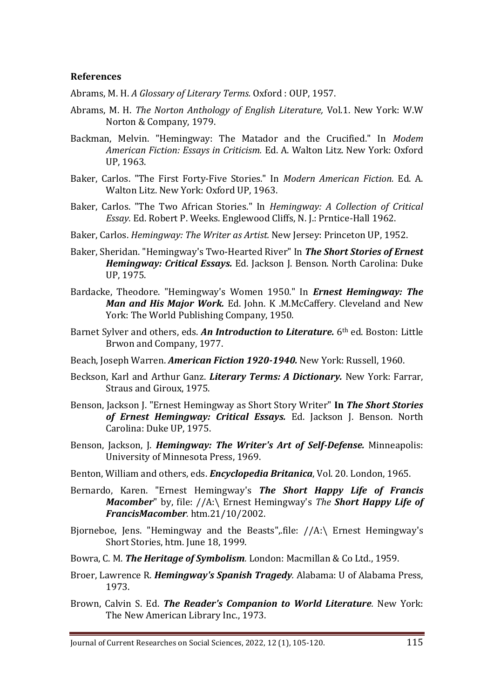#### **References**

Abrams, M. H. *A Glossary of Literary Terms.* Oxford : OUP, 1957.

- Abrams, M. H. *The Norton Anthology of English Literature,* Vol.1. New York: W.W Norton & Company, 1979.
- Backman, Melvin. "Hemingway: The Matador and the Crucified." In *Modem American Fiction: Essays in Criticism.* Ed. A. Walton Litz. New York: Oxford UP, 1963.
- Baker, Carlos. "The First Forty-Five Stories." In *Modern American Fiction.* Ed. A. Walton Litz. New York: Oxford UP, 1963.
- Baker, Carlos. "The Two African Stories." In *Hemingway: A Collection of Critical Essay.* Ed. Robert P. Weeks. Englewood Cliffs, N. J.: Prntice-Hall 1962.
- Baker, Carlos. *Hemingway: The Writer as Artist.* New Jersey: Princeton UP, 1952.
- Baker, Sheridan. "Hemingway's Two-Hearted River" In *The Short Stories of Ernest Hemingway: Critical Essays.* Ed. Jackson J. Benson. North Carolina: Duke UP, 1975.
- Bardacke, Theodore. "Hemingway's Women 1950." In *Ernest Hemingway: The Man and His Major Work.* Ed. John. K .M.McCaffery. Cleveland and New York: The World Publishing Company, 1950.
- Barnet Sylver and others, eds. *An Introduction to Literature.* 6th ed. Boston: Little Brwon and Company, 1977.
- Beach, Joseph Warren. *American Fiction 1920-1940.* New York: Russell, 1960.
- Beckson, Karl and Arthur Ganz. *Literary Terms: A Dictionary.* New York: Farrar, Straus and Giroux, 1975.
- Benson, Jackson J. "Ernest Hemingway as Short Story Writer" **In** *The Short Stories of Ernest Hemingway: Critical Essays.* Ed. Jackson J. Benson. North Carolina: Duke UP, 1975.
- Benson, Jackson, J. *Hemingway: The Writer's Art of Self-Defense.* Minneapolis: University of Minnesota Press, 1969.
- Benton, William and others, eds. *Encyclopedia Britanica*, Vol. 20. London, 1965.
- Bernardo, Karen. "Ernest Hemingway's *The Short Happy Life of Francis Macomber*" by, file: //A:\ Ernest Hemingway's *The Short Happy Life of FrancisMacomber.* htm.21/10/2002.
- Bjorneboe, Jens. "Hemingway and the Beasts", file:  $//A:\$ Ernest Hemingway's Short Stories, htm. June 18, 1999.
- Bowra, C. M. *The Heritage of Symbolism.* London: Macmillan & Co Ltd., 1959.
- Broer, Lawrence R. *Hemingway's Spanish Tragedy.* Alabama: U of Alabama Press, 1973.
- Brown, Calvin S. Ed. *The Reader's Companion to World Literature.* New York: The New American Library Inc., 1973.

Journal of Current Researches on Social Sciences, 2022, 12 (1), 105-120. 115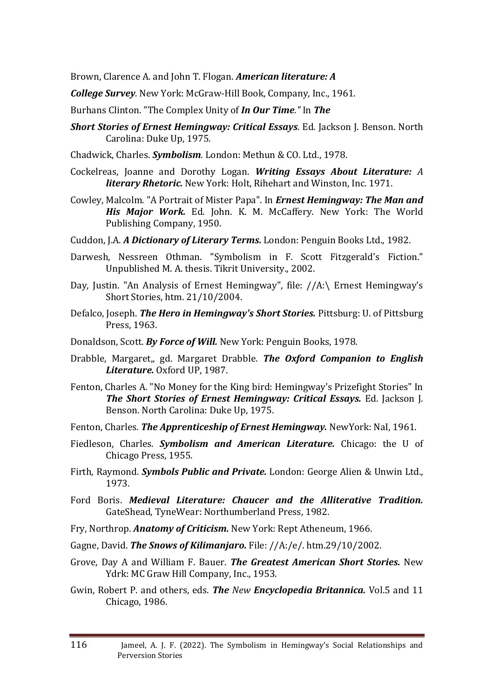Brown, Clarence A. and John T. Flogan. *American literature: A*

*College Survey.* New York: McGraw-Hill Book, Company, Inc., 1961.

- Burhans Clinton. "The Complex Unity of *In Our Time."* In *The*
- *Short Stories of Ernest Hemingway: Critical Essays.* Ed. Jackson J. Benson. North Carolina: Duke Up, 1975.
- Chadwick, Charles. *Symbolism.* London: Methun & CO. Ltd., 1978.
- Cockelreas, Joanne and Dorothy Logan. *Writing Essays About Literature: A literary Rhetoric.* New York: Holt, Rihehart and Winston, Inc. 1971.
- Cowley, Malcolm. "A Portrait of Mister Papa". In *Ernest Hemingway: The Man and His Major Work.* Ed. John. K. M. McCaffery. New York: The World Publishing Company, 1950.
- Cuddon, J.A. *A Dictionary of Literary Terms.* London: Penguin Books Ltd., 1982.
- Darwesh, Nessreen Othman. "Symbolism in F. Scott Fitzgerald's Fiction." Unpublished M. A. thesis. Tikrit University., 2002.
- Day, Justin. "An Analysis of Ernest Hemingway", file: //A:\ Ernest Hemingway's Short Stories, htm. 21/10/2004.
- Defalco, Joseph. *The Hero in Hemingway's Short Stories.* Pittsburg: U. of Pittsburg Press, 1963.
- Donaldson, Scott. *By Force of Will.* New York: Penguin Books, 1978.
- Drabble, Margaret,, gd. Margaret Drabble. *The Oxford Companion to English Literature.* Oxford UP, 1987.
- Fenton, Charles A. "No Money for the King bird: Hemingway's Prizefight Stories" In *The Short Stories of Ernest Hemingway: Critical Essays.* Ed. Jackson J. Benson. North Carolina: Duke Up, 1975.
- Fenton, Charles. *The Apprenticeship of Ernest Hemingway.* NewYork: NaI, 1961.
- Fiedleson, Charles. *Symbolism and American Literature.* Chicago: the U of Chicago Press, 1955.
- Firth, Raymond. *Symbols Public and Private.* London: George Alien & Unwin Ltd., 1973.
- Ford Boris. *Medieval Literature: Chaucer and the Alliterative Tradition.*  GateShead, TyneWear: Northumberland Press, 1982.
- Fry, Northrop. *Anatomy of Criticism.* New York: Rept Atheneum, 1966.
- Gagne, David. *The Snows of Kilimanjaro.* File: //A:/e/. htm.29/10/2002.
- Grove, Day A and William F. Bauer. *The Greatest American Short Stories.* New Ydrk: MC Graw Hill Company, Inc., 1953.
- Gwin, Robert P. and others, eds. *The New Encyclopedia Britannica.* Vol.5 and 11 Chicago, 1986.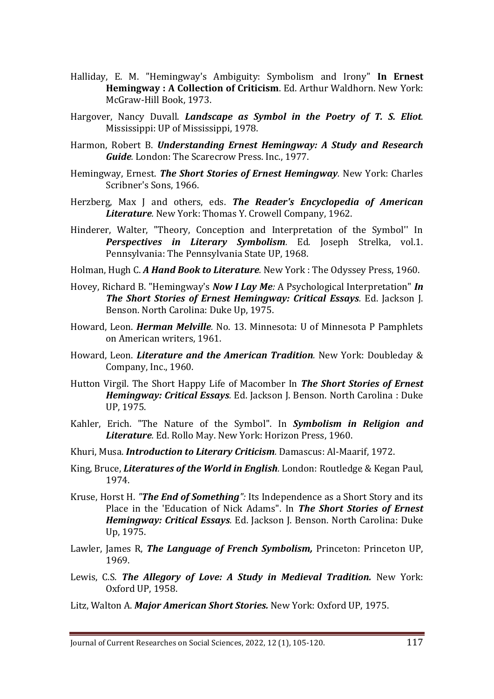- Halliday, E. M. "Hemingway's Ambiguity: Symbolism and Irony" **In Ernest Hemingway : A Collection of Criticism**. Ed. Arthur Waldhorn. New York: McGraw-Hill Book, 1973.
- Hargover, Nancy Duvall. *Landscape as Symbol in the Poetry of T. S. Eliot.*  Mississippi: UP of Mississippi, 1978.
- Harmon, Robert B. *Understanding Ernest Hemingway: A Study and Research Guide.* London: The Scarecrow Press. Inc., 1977.
- Hemingway, Ernest. *The Short Stories of Ernest Hemingway.* New York: Charles Scribner's Sons, 1966.
- Herzberg, Max J and others, eds. *The Reader's Encyclopedia of American Literature.* New York: Thomas Y. Crowell Company, 1962.
- Hinderer, Walter, "Theory, Conception and Interpretation of the Symbol'' In *Perspectives in Literary Symbolism.* Ed*.* Joseph Strelka, vol.1. Pennsylvania: The Pennsylvania State UP, 1968.
- Holman, Hugh C. *A Hand Book to Literature.* New York : The Odyssey Press, 1960.
- Hovey, Richard B. "Hemingway's *Now I Lay Me:* A Psychological Interpretation" *In The Short Stories of Ernest Hemingway: Critical Essays.* Ed. Jackson J. Benson. North Carolina: Duke Up, 1975.
- Howard, Leon. *Herman Melville.* No. 13. Minnesota: U of Minnesota P Pamphlets on American writers, 1961.
- Howard, Leon. *Literature and the American Tradition.* New York: Doubleday & Company, Inc., 1960.
- Hutton Virgil. The Short Happy Life of Macomber In *The Short Stories of Ernest Hemingway: Critical Essays.* Ed. Jackson J. Benson. North Carolina : Duke UP, 1975.
- Kahler, Erich. "The Nature of the Symbol". In *Symbolism in Religion and Literature.* Ed. Rollo May. New York: Horizon Press, 1960.
- Khuri, Musa. *Introduction to Literary Criticism.* Damascus: Al-Maarif, 1972.
- King, Bruce, *Literatures of the World in English.* London: Routledge & Kegan Paul, 1974.
- Kruse, Horst H. *"The End of Something":* Its Independence as a Short Story and its Place in the 'Education of Nick Adams". In *The Short Stories of Ernest Hemingway: Critical Essays.* Ed. Jackson J. Benson. North Carolina: Duke Up, 1975.
- Lawler, James R, *The Language of French Symbolism,* Princeton: Princeton UP, 1969.
- Lewis, C.S. *The Allegory of Love: A Study in Medieval Tradition.* New York: Oxford UP, 1958.
- Litz, Walton A. *Major American Short Stories.* New York: Oxford UP, 1975.

Journal of Current Researches on Social Sciences, 2022, 12 (1), 105-120. 117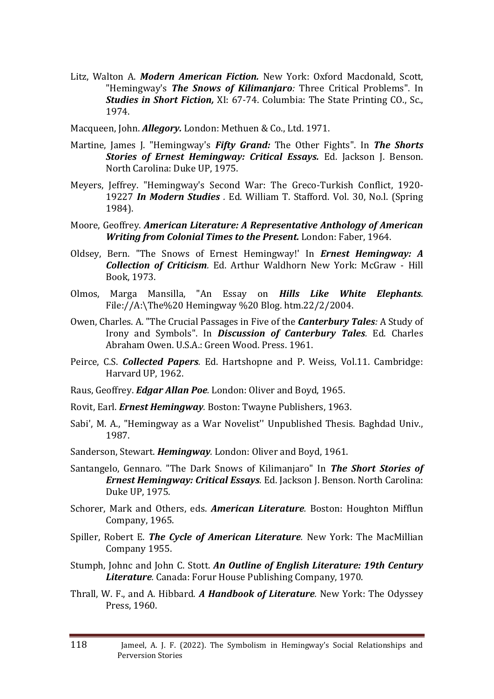- Litz, Walton A. *Modern American Fiction.* New York: Oxford Macdonald, Scott, "Hemingway's *The Snows of Kilimanjaro:* Three Critical Problems". In *Studies in Short Fiction,* XI: 67-74. Columbia: The State Printing CO., Sc., 1974.
- Macqueen, John. *Allegory.* London: Methuen & Co., Ltd. 1971.
- Martine, James J. "Hemingway's *Fifty Grand:* The Other Fights". In *The Shorts Stories of Ernest Hemingway: Critical Essays.* Ed. Jackson J. Benson. North Carolina: Duke UP, 1975.
- Meyers, Jeffrey. "Hemingway's Second War: The Greco-Turkish Conflict, 1920- 19227 *In Modern Studies .* Ed. William T. Stafford. Vol. 30, No.l. (Spring 1984).
- Moore, Geoffrey. *American Literature: A Representative Anthology of American Writing from Colonial Times to the Present.* London: Faber, 1964.
- Oldsey, Bern. "The Snows of Ernest Hemingway!' In *Ernest Hemingway: A Collection of Criticism.* Ed. Arthur Waldhorn New York: McGraw - Hill Book, 1973.
- Olmos, Marga Mansilla, "An Essay on *Hills Like White Elephants*. File://A:\The%20 Hemingway %20 Blog. htm.22/2/2004.
- Owen, Charles. A. "The Crucial Passages in Five of the *Canterbury Tales:* A Study of Irony and Symbols". In *Discussion of Canterbury Tales.* Ed. Charles Abraham Owen. U.S.A.: Green Wood. Press. 1961.
- Peirce, C.S. *Collected Papers.* Ed. Hartshopne and P. Weiss, Vol.11. Cambridge: Harvard UP, 1962.
- Raus, Geoffrey. *Edgar Allan Poe.* London: Oliver and Boyd, 1965.
- Rovit, Earl. *Ernest Hemingway.* Boston: Twayne Publishers, 1963.
- Sabi', M. A., "Hemingway as a War Novelist'' Unpublished Thesis. Baghdad Univ., 1987.
- Sanderson, Stewart. *Hemingway.* London: Oliver and Boyd, 1961.
- Santangelo, Gennaro. "The Dark Snows of Kilimanjaro" In *The Short Stories of Ernest Hemingway: Critical Essays.* Ed. Jackson J. Benson. North Carolina: Duke UP, 1975.
- Schorer, Mark and Others, eds. *American Literature.* Boston: Houghton Mifflun Company, 1965.
- Spiller, Robert E. *The Cycle of American Literature.* New York: The MacMillian Company 1955.
- Stumph, Johnc and John C. Stott. *An Outline of English Literature: 19th Century Literature.* Canada: Forur House Publishing Company, 1970.
- Thrall, W. F., and A. Hibbard. *A Handbook of Literature.* New York: The Odyssey Press, 1960.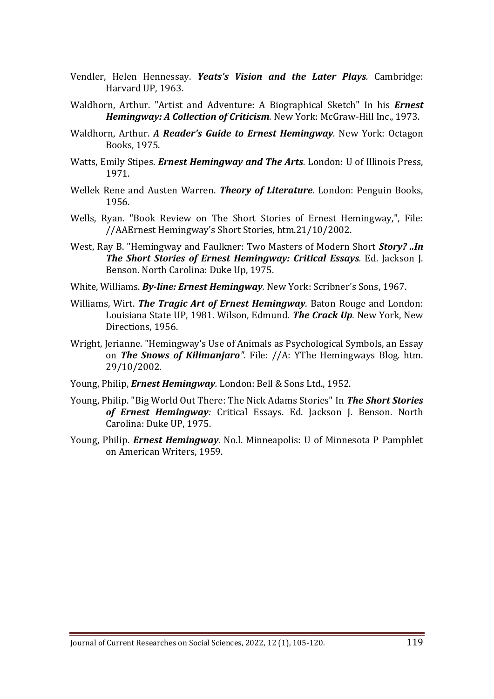- Vendler, Helen Hennessay. *Yeats's Vision and the Later Plays.* Cambridge: Harvard UP, 1963.
- Waldhorn, Arthur. "Artist and Adventure: A Biographical Sketch" In his *Ernest Hemingway: A Collection of Criticism.* New York: McGraw-Hill Inc., 1973.
- Waldhorn, Arthur. *A Reader's Guide to Ernest Hemingway.* New York: Octagon Books, 1975.
- Watts, Emily Stipes. *Ernest Hemingway and The Arts.* London: U of Illinois Press, 1971.
- Wellek Rene and Austen Warren. *Theory of Literature.* London: Penguin Books, 1956.
- Wells, Ryan. "Book Review on The Short Stories of Ernest Hemingway,", File: //AAErnest Hemingway's Short Stories, htm.21/10/2002.
- West, Ray B. "Hemingway and Faulkner: Two Masters of Modern Short *Story? ..In The Short Stories of Ernest Hemingway: Critical Essays.* Ed. Jackson J. Benson. North Carolina: Duke Up, 1975.
- White, Williams. *By-line: Ernest Hemingway.* New York: Scribner's Sons, 1967.
- Williams, Wirt. *The Tragic Art of Ernest Hemingway.* Baton Rouge and London: Louisiana State UP, 1981. Wilson, Edmund. *The Crack Up.* New York, New Directions, 1956.
- Wright, Jerianne. "Hemingway's Use of Animals as Psychological Symbols, an Essay on *The Snows of Kilimanjaro".* File: //A: YThe Hemingways Blog. htm. 29/10/2002.
- Young, Philip, *Ernest Hemingway.* London: Bell & Sons Ltd., 1952.
- Young, Philip. "Big World Out There: The Nick Adams Stories" In *The Short Stories of Ernest Hemingway:* Critical Essays. Ed. Jackson J. Benson. North Carolina: Duke UP, 1975.
- Young, Philip. *Ernest Hemingway.* No.l. Minneapolis: U of Minnesota P Pamphlet on American Writers, 1959.